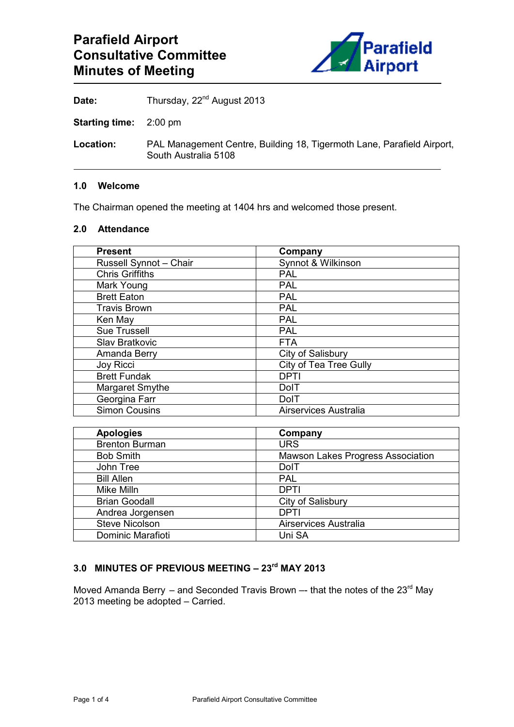

Date: Thursday, 22<sup>nd</sup> August 2013

**Starting time:** 2:00 pm

**Location:** PAL Management Centre, Building 18, Tigermoth Lane, Parafield Airport, South Australia 5108

#### **1.0 Welcome**

The Chairman opened the meeting at 1404 hrs and welcomed those present.

# **2.0 Attendance**

| <b>Present</b>         | Company                       |
|------------------------|-------------------------------|
| Russell Synnot - Chair | Synnot & Wilkinson            |
| <b>Chris Griffiths</b> | <b>PAL</b>                    |
| Mark Young             | <b>PAL</b>                    |
| <b>Brett Eaton</b>     | <b>PAL</b>                    |
| <b>Travis Brown</b>    | <b>PAL</b>                    |
| Ken May                | <b>PAL</b>                    |
| <b>Sue Trussell</b>    | <b>PAL</b>                    |
| Slav Bratkovic         | <b>FTA</b>                    |
| Amanda Berry           | City of Salisbury             |
| <b>Joy Ricci</b>       | <b>City of Tea Tree Gully</b> |
| <b>Brett Fundak</b>    | <b>DPTI</b>                   |
| Margaret Smythe        | <b>DolT</b>                   |
| Georgina Farr          | DolT                          |
| <b>Simon Cousins</b>   | Airservices Australia         |

| <b>Apologies</b>      | Company                           |
|-----------------------|-----------------------------------|
| <b>Brenton Burman</b> | <b>URS</b>                        |
| <b>Bob Smith</b>      | Mawson Lakes Progress Association |
| John Tree             | <b>DolT</b>                       |
| <b>Bill Allen</b>     | <b>PAL</b>                        |
| Mike Milln            | <b>DPTI</b>                       |
| <b>Brian Goodall</b>  | City of Salisbury                 |
| Andrea Jorgensen      | DPTI                              |
| <b>Steve Nicolson</b> | Airservices Australia             |
| Dominic Marafioti     | Uni SA                            |

# **3.0 MINUTES OF PREVIOUS MEETING – 23rd MAY 2013**

Moved Amanda Berry – and Seconded Travis Brown –- that the notes of the  $23^{\text{rd}}$  May 2013 meeting be adopted – Carried.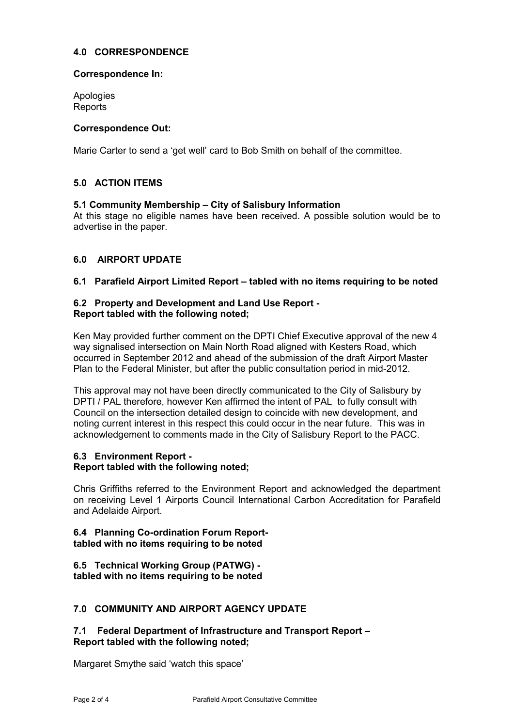## **4.0 CORRESPONDENCE**

## **Correspondence In:**

Apologies Reports

## **Correspondence Out:**

Marie Carter to send a 'get well' card to Bob Smith on behalf of the committee.

## **5.0 ACTION ITEMS**

#### **5.1 Community Membership – City of Salisbury Information**

At this stage no eligible names have been received. A possible solution would be to advertise in the paper.

## **6.0 AIRPORT UPDATE**

#### **6.1 Parafield Airport Limited Report – tabled with no items requiring to be noted**

#### **6.2 Property and Development and Land Use Report - Report tabled with the following noted;**

Ken May provided further comment on the DPTI Chief Executive approval of the new 4 way signalised intersection on Main North Road aligned with Kesters Road, which occurred in September 2012 and ahead of the submission of the draft Airport Master Plan to the Federal Minister, but after the public consultation period in mid-2012.

This approval may not have been directly communicated to the City of Salisbury by DPTI / PAL therefore, however Ken affirmed the intent of PAL to fully consult with Council on the intersection detailed design to coincide with new development, and noting current interest in this respect this could occur in the near future. This was in acknowledgement to comments made in the City of Salisbury Report to the PACC.

# **6.3 Environment Report -**

## **Report tabled with the following noted;**

Chris Griffiths referred to the Environment Report and acknowledged the department on receiving Level 1 Airports Council International Carbon Accreditation for Parafield and Adelaide Airport.

#### **6.4 Planning Co-ordination Forum Reporttabled with no items requiring to be noted**

**6.5 Technical Working Group (PATWG) tabled with no items requiring to be noted** 

## **7.0 COMMUNITY AND AIRPORT AGENCY UPDATE**

## **7.1 Federal Department of Infrastructure and Transport Report – Report tabled with the following noted;**

Margaret Smythe said 'watch this space'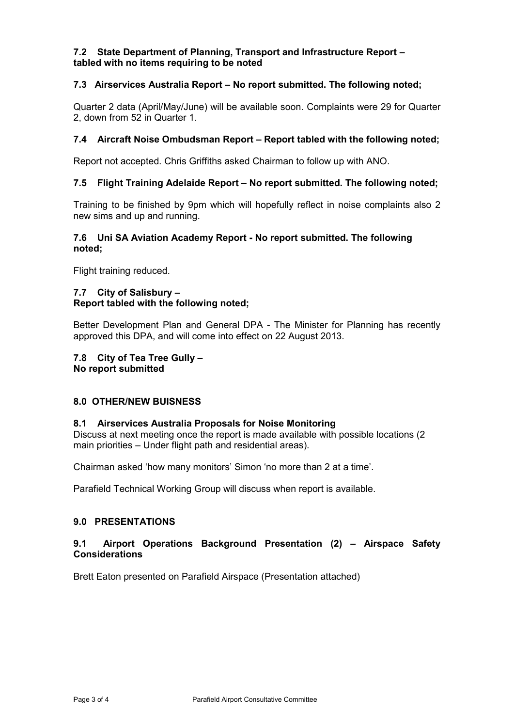## **7.2 State Department of Planning, Transport and Infrastructure Report – tabled with no items requiring to be noted**

## **7.3 Airservices Australia Report – No report submitted. The following noted;**

Quarter 2 data (April/May/June) will be available soon. Complaints were 29 for Quarter 2, down from 52 in Quarter 1.

## **7.4 Aircraft Noise Ombudsman Report – Report tabled with the following noted;**

Report not accepted. Chris Griffiths asked Chairman to follow up with ANO.

## **7.5 Flight Training Adelaide Report – No report submitted. The following noted;**

Training to be finished by 9pm which will hopefully reflect in noise complaints also 2 new sims and up and running.

## **7.6 Uni SA Aviation Academy Report - No report submitted. The following noted;**

Flight training reduced.

## **7.7 City of Salisbury – Report tabled with the following noted;**

Better Development Plan and General DPA - The Minister for Planning has recently approved this DPA, and will come into effect on 22 August 2013.

**7.8 City of Tea Tree Gully – No report submitted** 

#### **8.0 OTHER/NEW BUISNESS**

#### **8.1 Airservices Australia Proposals for Noise Monitoring**

Discuss at next meeting once the report is made available with possible locations (2 main priorities – Under flight path and residential areas).

Chairman asked 'how many monitors' Simon 'no more than 2 at a time'.

Parafield Technical Working Group will discuss when report is available.

## **9.0 PRESENTATIONS**

## **9.1 Airport Operations Background Presentation (2) – Airspace Safety Considerations**

Brett Eaton presented on Parafield Airspace (Presentation attached)